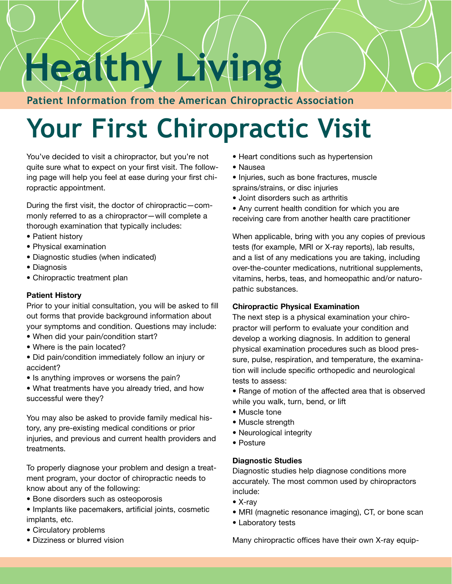# **Healthy Living**

**Patient Information from the American Chiropractic Association**

# **Your First Chiropractic Visit**

You've decided to visit a chiropractor, but you're not quite sure what to expect on your first visit. The following page will help you feel at ease during your first chiropractic appointment.

During the first visit, the doctor of chiropractic—commonly referred to as a chiropractor—will complete a thorough examination that typically includes:

- Patient history
- Physical examination
- Diagnostic studies (when indicated)
- Diagnosis
- Chiropractic treatment plan

## **Patient History**

Prior to your initial consultation, you will be asked to fill out forms that provide background information about your symptoms and condition. Questions may include:

- When did your pain/condition start?
- Where is the pain located?
- Did pain/condition immediately follow an injury or accident?
- Is anything improves or worsens the pain?
- What treatments have you already tried, and how successful were they?

You may also be asked to provide family medical history, any pre-existing medical conditions or prior injuries, and previous and current health providers and treatments.

To properly diagnose your problem and design a treatment program, your doctor of chiropractic needs to know about any of the following:

- Bone disorders such as osteoporosis
- Implants like pacemakers, artificial joints, cosmetic implants, etc.
- Circulatory problems
- Dizziness or blurred vision
- Heart conditions such as hypertension
- Nausea
- Injuries, such as bone fractures, muscle sprains/strains, or disc injuries
- Joint disorders such as arthritis
- Any current health condition for which you are receiving care from another health care practitioner

When applicable, bring with you any copies of previous tests (for example, MRI or X-ray reports), lab results, and a list of any medications you are taking, including over-the-counter medications, nutritional supplements, vitamins, herbs, teas, and homeopathic and/or naturopathic substances.

## **Chiropractic Physical Examination**

The next step is a physical examination your chiropractor will perform to evaluate your condition and develop a working diagnosis. In addition to general physical examination procedures such as blood pressure, pulse, respiration, and temperature, the examination will include specific orthopedic and neurological tests to assess:

- Range of motion of the affected area that is observed while you walk, turn, bend, or lift
- Muscle tone
- Muscle strength
- Neurological integrity
- Posture

## **Diagnostic Studies**

Diagnostic studies help diagnose conditions more accurately. The most common used by chiropractors include:

- X-ray
- MRI (magnetic resonance imaging), CT, or bone scan
- Laboratory tests

Many chiropractic offices have their own X-ray equip-